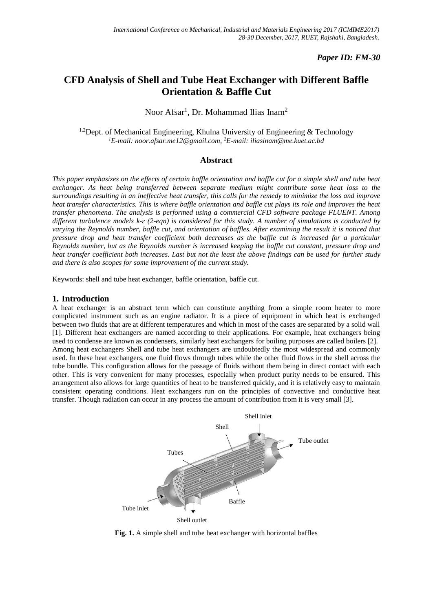## *Paper ID: FM-30*

# **CFD Analysis of Shell and Tube Heat Exchanger with Different Baffle Orientation & Baffle Cut**

# Noor Afsar<sup>1</sup>, Dr. Mohammad Ilias Inam<sup>2</sup>

<sup>1,2</sup>Dept. of Mechanical Engineering, Khulna University of Engineering  $\&$  Technology *<sup>1</sup>E-mail: noor.afsar.me12@gmail.com, <sup>2</sup>E-mail: iliasinam@me.kuet.ac.bd*

#### **Abstract**

*This paper emphasizes on the effects of certain baffle orientation and baffle cut for a simple shell and tube heat exchanger. As heat being transferred between separate medium might contribute some heat loss to the surroundings resulting in an ineffective heat transfer, this calls for the remedy to minimize the loss and improve heat transfer characteristics. This is where baffle orientation and baffle cut plays its role and improves the heat transfer phenomena. The analysis is performed using a commercial CFD software package FLUENT. Among different turbulence models k-ɛ (2-eqn) is considered for this study. A number of simulations is conducted by varying the Reynolds number, baffle cut, and orientation of baffles. After examining the result it is noticed that pressure drop and heat transfer coefficient both decreases as the baffle cut is increased for a particular Reynolds number, but as the Reynolds number is increased keeping the baffle cut constant, pressure drop and heat transfer coefficient both increases. Last but not the least the above findings can be used for further study and there is also scopes for some improvement of the current study.*

Keywords: shell and tube heat exchanger, baffle orientation, baffle cut.

#### **1. Introduction**

A heat exchanger is an abstract term which can constitute anything from a simple room heater to more complicated instrument such as an engine radiator. It is a piece of equipment in which heat is exchanged between two fluids that are at different temperatures and which in most of the cases are separated by a solid wall [1]. Different heat exchangers are named according to their applications. For example, heat exchangers being used to condense are known as condensers, similarly heat exchangers for boiling purposes are called boilers [2]. Among heat exchangers Shell and tube heat exchangers are undoubtedly the most widespread and commonly used. In these heat exchangers, one fluid flows through tubes while the other fluid flows in the shell across the tube bundle. This configuration allows for the passage of fluids without them being in direct contact with each other. This is very convenient for many processes, especially when product purity needs to be ensured. This arrangement also allows for large quantities of heat to be transferred quickly, and it is relatively easy to maintain consistent operating conditions. Heat exchangers run on the principles of convective and conductive heat transfer. Though radiation can occur in any process the amount of contribution from it is very small [3].



**Fig. 1.** A simple shell and tube heat exchanger with horizontal baffles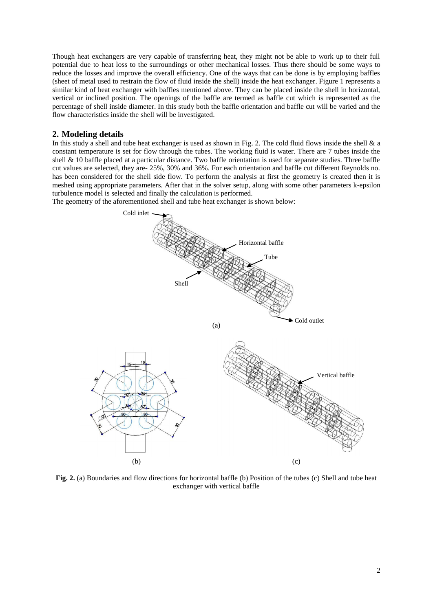Though heat exchangers are very capable of transferring heat, they might not be able to work up to their full potential due to heat loss to the surroundings or other mechanical losses. Thus there should be some ways to reduce the losses and improve the overall efficiency. One of the ways that can be done is by employing baffles (sheet of metal used to restrain the flow of fluid inside the shell) inside the heat exchanger. Figure 1 represents a similar kind of heat exchanger with baffles mentioned above. They can be placed inside the shell in horizontal, vertical or inclined position. The openings of the baffle are termed as baffle cut which is represented as the percentage of shell inside diameter. In this study both the baffle orientation and baffle cut will be varied and the flow characteristics inside the shell will be investigated.

#### **2. Modeling details**

In this study a shell and tube heat exchanger is used as shown in Fig. 2. The cold fluid flows inside the shell & a constant temperature is set for flow through the tubes. The working fluid is water. There are 7 tubes inside the shell & 10 baffle placed at a particular distance. Two baffle orientation is used for separate studies. Three baffle cut values are selected, they are- 25%, 30% and 36%. For each orientation and baffle cut different Reynolds no. has been considered for the shell side flow. To perform the analysis at first the geometry is created then it is meshed using appropriate parameters. After that in the solver setup, along with some other parameters k-epsilon turbulence model is selected and finally the calculation is performed.



The geometry of the aforementioned shell and tube heat exchanger is shown below:

**Fig. 2.** (a) Boundaries and flow directions for horizontal baffle (b) Position of the tubes (c) Shell and tube heat exchanger with vertical baffle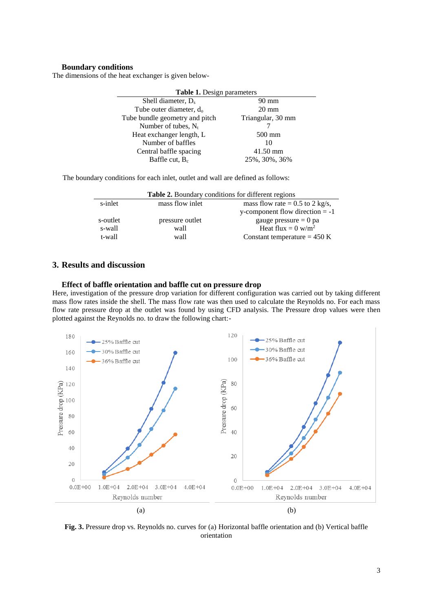## **Boundary conditions**

The dimensions of the heat exchanger is given below-

| Table 1. Design parameters          |                   |  |
|-------------------------------------|-------------------|--|
| Shell diameter, D <sub>s</sub>      | 90 mm             |  |
| Tube outer diameter, d <sub>o</sub> | $20 \text{ mm}$   |  |
| Tube bundle geometry and pitch      | Triangular, 30 mm |  |
| Number of tubes, $N_t$              |                   |  |
| Heat exchanger length, L            | $500 \text{ mm}$  |  |
| Number of baffles                   | 10                |  |
| Central baffle spacing              | 41.50 mm          |  |
| Baffle cut, $B_c$                   | 25%, 30%, 36%     |  |

The boundary conditions for each inlet, outlet and wall are defined as follows:

| <b>Table 2.</b> Boundary conditions for different regions |                 |                                   |
|-----------------------------------------------------------|-----------------|-----------------------------------|
| s-inlet                                                   | mass flow inlet | mass flow rate = $0.5$ to 2 kg/s, |
|                                                           |                 | y-component flow direction $= -1$ |
| s-outlet                                                  | pressure outlet | gauge pressure $= 0$ pa           |
| s-wall                                                    | wall            | Heat flux = $0 \text{ w/m}^2$     |
| t-wall                                                    | wall            | Constant temperature $= 450$ K    |

### **3. Results and discussion**

#### **Effect of baffle orientation and baffle cut on pressure drop**

Here, investigation of the pressure drop variation for different configuration was carried out by taking different mass flow rates inside the shell. The mass flow rate was then used to calculate the Reynolds no. For each mass flow rate pressure drop at the outlet was found by using CFD analysis. The Pressure drop values were then plotted against the Reynolds no. to draw the following chart:-



**Fig. 3.** Pressure drop vs. Reynolds no. curves for (a) Horizontal baffle orientation and (b) Vertical baffle orientation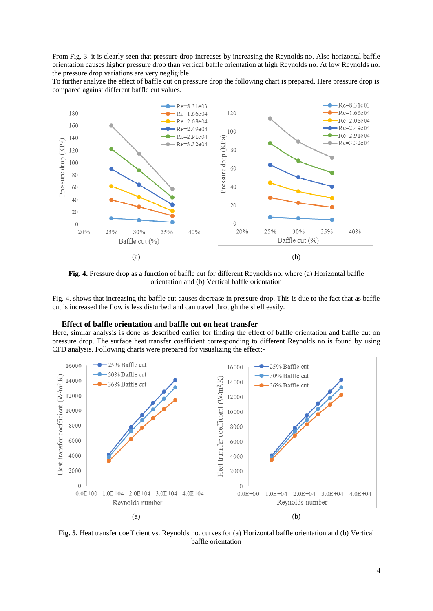From Fig. 3. it is clearly seen that pressure drop increases by increasing the Reynolds no. Also horizontal baffle orientation causes higher pressure drop than vertical baffle orientation at high Reynolds no. At low Reynolds no. the pressure drop variations are very negligible.

To further analyze the effect of baffle cut on pressure drop the following chart is prepared. Here pressure drop is compared against different baffle cut values.



**Fig. 4.** Pressure drop as a function of baffle cut for different Reynolds no. where (a) Horizontal baffle orientation and (b) Vertical baffle orientation

Fig. 4. shows that increasing the baffle cut causes decrease in pressure drop. This is due to the fact that as baffle cut is increased the flow is less disturbed and can travel through the shell easily.

#### **Effect of baffle orientation and baffle cut on heat transfer**

Here, similar analysis is done as described earlier for finding the effect of baffle orientation and baffle cut on pressure drop. The surface heat transfer coefficient corresponding to different Reynolds no is found by using CFD analysis. Following charts were prepared for visualizing the effect:-



**Fig. 5.** Heat transfer coefficient vs. Reynolds no. curves for (a) Horizontal baffle orientation and (b) Vertical baffle orientation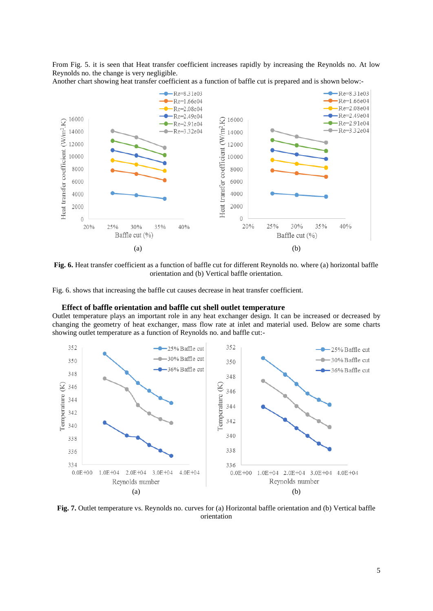From Fig. 5. it is seen that Heat transfer coefficient increases rapidly by increasing the Reynolds no. At low Reynolds no. the change is very negligible.





**Fig. 6.** Heat transfer coefficient as a function of baffle cut for different Reynolds no. where (a) horizontal baffle orientation and (b) Vertical baffle orientation.

Fig. 6. shows that increasing the baffle cut causes decrease in heat transfer coefficient.

#### **Effect of baffle orientation and baffle cut shell outlet temperature**

Outlet temperature plays an important role in any heat exchanger design. It can be increased or decreased by changing the geometry of heat exchanger, mass flow rate at inlet and material used. Below are some charts showing outlet temperature as a function of Reynolds no. and baffle cut:-



**Fig. 7.** Outlet temperature vs. Reynolds no. curves for (a) Horizontal baffle orientation and (b) Vertical baffle orientation